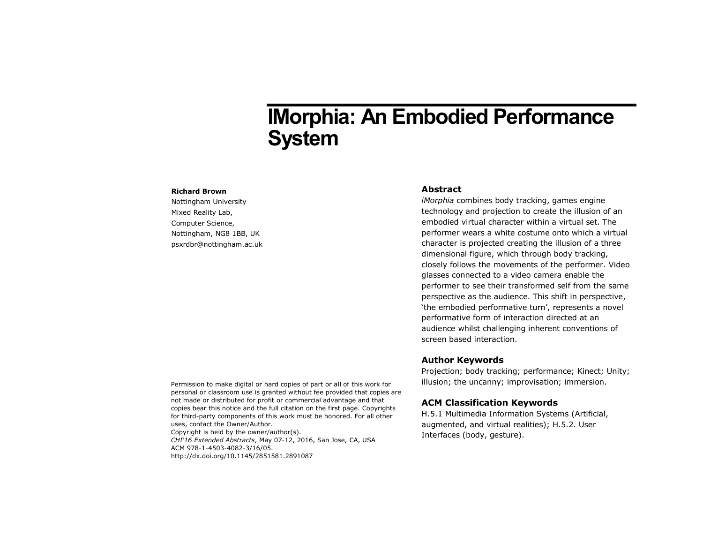# **IMorphia: An Embodied Performance System**

#### **Richard Brown**

Nottingham University Mixed Reality Lab, Computer Science, Nottingham, NG8 1BB, UK psxrdbr@nottingham.ac.uk

## **Abstract**

*iMorphia* combines body tracking, games engine technology and projection to create the illusion of an embodied virtual character within a virtual set. The performer wears a white costume onto which a virtual character is projected creating the illusion of a three dimensional figure, which through body tracking, closely follows the movements of the performer. Video glasses connected to a video camera enable the performer to see their transformed self from the same perspective as the audience. This shift in perspective, 'the embodied performative turn', represents a novel performative form of interaction directed at an audience whilst challenging inherent conventions of screen based interaction.

# **Author Keywords**

Projection; body tracking; performance; Kinect; Unity; illusion; the uncanny; improvisation; immersion.

# **ACM Classification Keywords**

H.5.1 Multimedia Information Systems (Artificial, augmented, and virtual realities); H.5.2. User Interfaces (body, gesture).

Permission to make digital or hard copies of part or all of this work for personal or classroom use is granted without fee provided that copies are not made or distributed for profit or commercial advantage and that copies bear this notice and the full citation on the first page. Copyrights for third-party components of this work must be honored. For all other uses, contact the Owner/Author. Copyright is held by the owner/author(s). *CHI'16 Extended Abstracts*, May 07-12, 2016, San Jose, CA, USA ACM 978-1-4503-4082-3/16/05. http://dx.doi.org/10.1145/2851581.2891087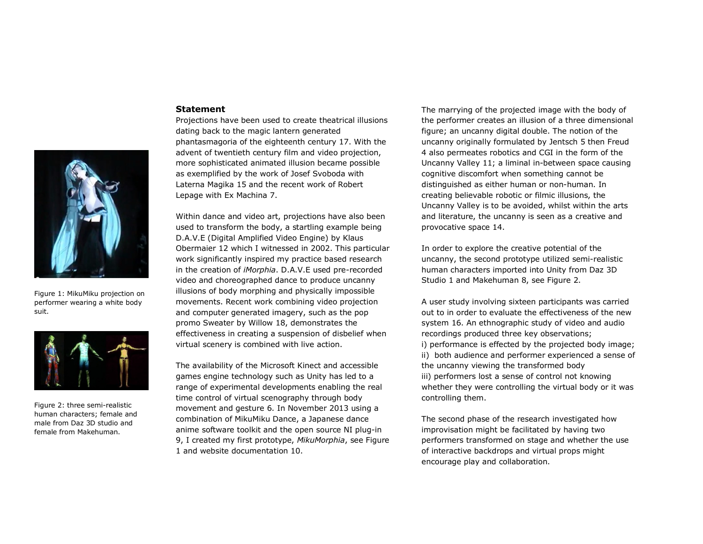

Figure 1: MikuMiku projection on performer wearing a white body suit.



Figure 2: three semi-realistic human characters; female and male from Daz 3D studio and female from Makehuman.

#### **Statement**

Projections have been used to create theatrical illusions dating back to the magic lantern generated phantasmagoria of the eighteenth century 17. With the advent of twentieth century film and video projection, more sophisticated animated illusion became possible as exemplified by the work of Josef Svoboda with Laterna Magika 15 and the recent work of Robert Lepage with Ex Machina 7.

Within dance and video art, projections have also been used to transform the body, a startling example being D.A.V.E (Digital Amplified Video Engine) by Klaus Obermaier 12 which I witnessed in 2002. This particular work significantly inspired my practice based research in the creation of *iMorphia*. D.A.V.E used pre-recorded video and choreographed dance to produce uncanny illusions of body morphing and physically impossible movements. Recent work combining video projection and computer generated imagery, such as the pop promo Sweater by Willow 18, demonstrates the effectiveness in creating a suspension of disbelief when virtual scenery is combined with live action.

The availability of the Microsoft Kinect and accessible games engine technology such as Unity has led to a range of experimental developments enabling the real time control of virtual scenography through body movement and gesture 6. In November 2013 using a combination of MikuMiku Dance, a Japanese dance anime software toolkit and the open source NI plug-in 9, I created my first prototype, *MikuMorphia*, see Figure 1 and website documentation 10.

The marrying of the projected image with the body of the performer creates an illusion of a three dimensional figure; an uncanny digital double. The notion of the uncanny originally formulated by Jentsch 5 then Freud 4 also permeates robotics and CGI in the form of the Uncanny Valley 11; a liminal in-between space causing cognitive discomfort when something cannot be distinguished as either human or non-human. In creating believable robotic or filmic illusions, the Uncanny Valley is to be avoided, whilst within the arts and literature, the uncanny is seen as a creative and provocative space 14.

In order to explore the creative potential of the uncanny, the second prototype utilized semi-realistic human characters imported into Unity from Daz 3D Studio 1 and Makehuman 8, see Figure 2.

A user study involving sixteen participants was carried out to in order to evaluate the effectiveness of the new system 16. An ethnographic study of video and audio recordings produced three key observations; i) performance is effected by the projected body image; ii) both audience and performer experienced a sense of the uncanny viewing the transformed body iii) performers lost a sense of control not knowing whether they were controlling the virtual body or it was controlling them.

The second phase of the research investigated how improvisation might be facilitated by having two performers transformed on stage and whether the use of interactive backdrops and virtual props might encourage play and collaboration.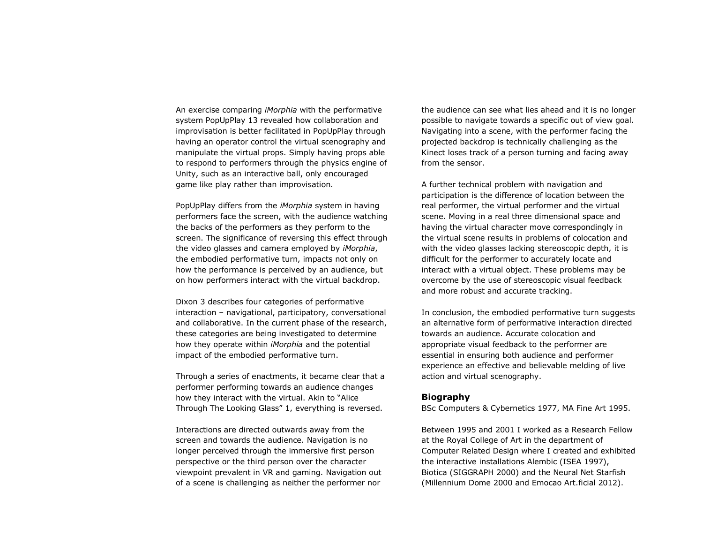An exercise comparing *iMorphia* with the performative system PopUpPlay 13 revealed how collaboration and improvisation is better facilitated in PopUpPlay through having an operator control the virtual scenography and manipulate the virtual props. Simply having props able to respond to performers through the physics engine of Unity, such as an interactive ball, only encouraged game like play rather than improvisation.

PopUpPlay differs from the *iMorphia* system in having performers face the screen, with the audience watching the backs of the performers as they perform to the screen. The significance of reversing this effect through the video glasses and camera employed by *iMorphia*, the embodied performative turn, impacts not only on how the performance is perceived by an audience, but on how performers interact with the virtual backdrop.

Dixon 3 describes four categories of performative interaction – navigational, participatory, conversational and collaborative. In the current phase of the research, these categories are being investigated to determine how they operate within *iMorphia* and the potential impact of the embodied performative turn.

Through a series of enactments, it became clear that a performer performing towards an audience changes how they interact with the virtual. Akin to "Alice Through The Looking Glass" 1, everything is reversed.

Interactions are directed outwards away from the screen and towards the audience. Navigation is no longer perceived through the immersive first person perspective or the third person over the character viewpoint prevalent in VR and gaming. Navigation out of a scene is challenging as neither the performer nor

the audience can see what lies ahead and it is no longer possible to navigate towards a specific out of view goal. Navigating into a scene, with the performer facing the projected backdrop is technically challenging as the Kinect loses track of a person turning and facing away from the sensor.

A further technical problem with navigation and participation is the difference of location between the real performer, the virtual performer and the virtual scene. Moving in a real three dimensional space and having the virtual character move correspondingly in the virtual scene results in problems of colocation and with the video glasses lacking stereoscopic depth, it is difficult for the performer to accurately locate and interact with a virtual object. These problems may be overcome by the use of stereoscopic visual feedback and more robust and accurate tracking.

In conclusion, the embodied performative turn suggests an alternative form of performative interaction directed towards an audience. Accurate colocation and appropriate visual feedback to the performer are essential in ensuring both audience and performer experience an effective and believable melding of live action and virtual scenography.

### **Biography**

BSc Computers & Cybernetics 1977, MA Fine Art 1995.

Between 1995 and 2001 I worked as a Research Fellow at the Royal College of Art in the department of Computer Related Design where I created and exhibited the interactive installations Alembic (ISEA 1997), Biotica (SIGGRAPH 2000) and the Neural Net Starfish (Millennium Dome 2000 and Emocao Art.ficial 2012).